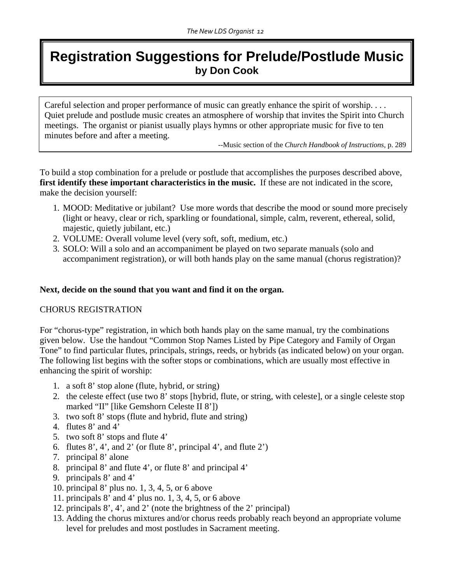# **Registration Suggestions for Prelude/Postlude Music by Don Cook**

Careful selection and proper performance of music can greatly enhance the spirit of worship. . . . Quiet prelude and postlude music creates an atmosphere of worship that invites the Spirit into Church meetings. The organist or pianist usually plays hymns or other appropriate music for five to ten minutes before and after a meeting.

--Music section of the *Church Handbook of Instructions,* p. 289

To build a stop combination for a prelude or postlude that accomplishes the purposes described above, **first identify these important characteristics in the music.** If these are not indicated in the score, make the decision yourself:

- 1. MOOD: Meditative or jubilant? Use more words that describe the mood or sound more precisely (light or heavy, clear or rich, sparkling or foundational, simple, calm, reverent, ethereal, solid, majestic, quietly jubilant, etc.)
- 2. VOLUME: Overall volume level (very soft, soft, medium, etc.)
- 3. SOLO: Will a solo and an accompaniment be played on two separate manuals (solo and accompaniment registration), or will both hands play on the same manual (chorus registration)?

#### **Next, decide on the sound that you want and find it on the organ.**

## CHORUS REGISTRATION

For "chorus-type" registration, in which both hands play on the same manual, try the combinations given below. Use the handout "Common Stop Names Listed by Pipe Category and Family of Organ Tone" to find particular flutes, principals, strings, reeds, or hybrids (as indicated below) on your organ. The following list begins with the softer stops or combinations, which are usually most effective in enhancing the spirit of worship:

- 1. a soft 8' stop alone (flute, hybrid, or string)
- 2. the celeste effect (use two 8' stops [hybrid, flute, or string, with celeste], or a single celeste stop marked "II" [like Gemshorn Celeste II 8'])
- 3. two soft 8' stops (flute and hybrid, flute and string)
- 4. flutes 8' and 4'
- 5. two soft 8' stops and flute 4'
- 6. flutes  $8^\prime$ ,  $4^\prime$ , and  $2^\prime$  (or flute  $8^\prime$ , principal  $4^\prime$ , and flute  $2^\prime$ )
- 7. principal 8' alone
- 8. principal 8' and flute 4', or flute 8' and principal 4'
- 9. principals 8' and 4'
- 10. principal 8' plus no. 1, 3, 4, 5, or 6 above
- 11. principals 8' and 4' plus no. 1, 3, 4, 5, or 6 above
- 12. principals 8', 4', and 2' (note the brightness of the 2' principal)
- 13. Adding the chorus mixtures and/or chorus reeds probably reach beyond an appropriate volume level for preludes and most postludes in Sacrament meeting.